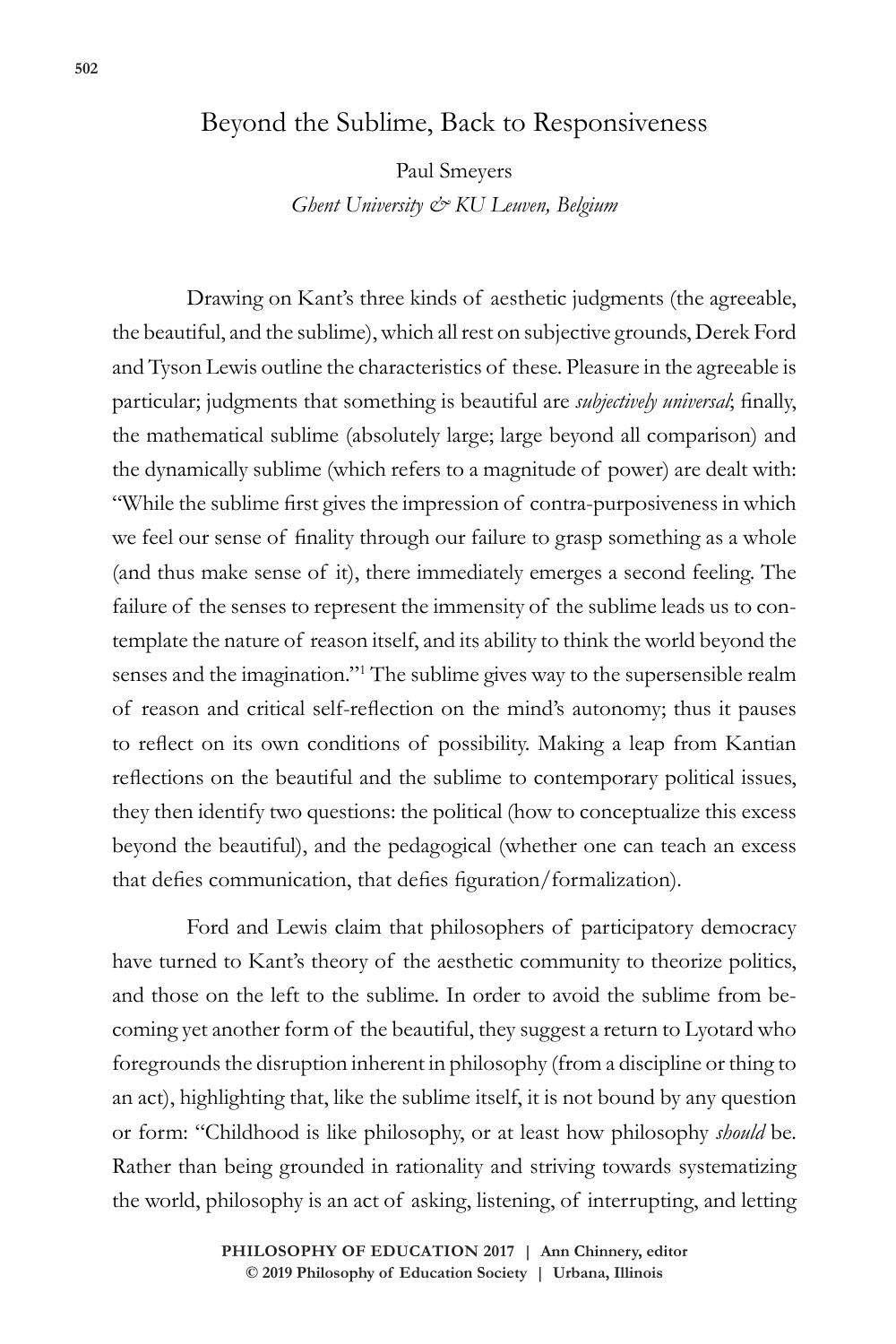## Beyond the Sublime, Back to Responsiveness

Paul Smeyers *Ghent University & KU Leuven, Belgium*

Drawing on Kant's three kinds of aesthetic judgments (the agreeable, the beautiful, and the sublime), which all rest on subjective grounds, Derek Ford and Tyson Lewis outline the characteristics of these. Pleasure in the agreeable is particular; judgments that something is beautiful are *subjectively universal*; finally, the mathematical sublime (absolutely large; large beyond all comparison) and the dynamically sublime (which refers to a magnitude of power) are dealt with: "While the sublime first gives the impression of contra-purposiveness in which we feel our sense of finality through our failure to grasp something as a whole (and thus make sense of it), there immediately emerges a second feeling. The failure of the senses to represent the immensity of the sublime leads us to contemplate the nature of reason itself, and its ability to think the world beyond the senses and the imagination."1 The sublime gives way to the supersensible realm of reason and critical self-reflection on the mind's autonomy; thus it pauses to reflect on its own conditions of possibility. Making a leap from Kantian reflections on the beautiful and the sublime to contemporary political issues, they then identify two questions: the political (how to conceptualize this excess beyond the beautiful), and the pedagogical (whether one can teach an excess that defies communication, that defies figuration/formalization).

Ford and Lewis claim that philosophers of participatory democracy have turned to Kant's theory of the aesthetic community to theorize politics, and those on the left to the sublime. In order to avoid the sublime from becoming yet another form of the beautiful, they suggest a return to Lyotard who foregrounds the disruption inherent in philosophy (from a discipline or thing to an act), highlighting that, like the sublime itself, it is not bound by any question or form: "Childhood is like philosophy, or at least how philosophy *should* be. Rather than being grounded in rationality and striving towards systematizing the world, philosophy is an act of asking, listening, of interrupting, and letting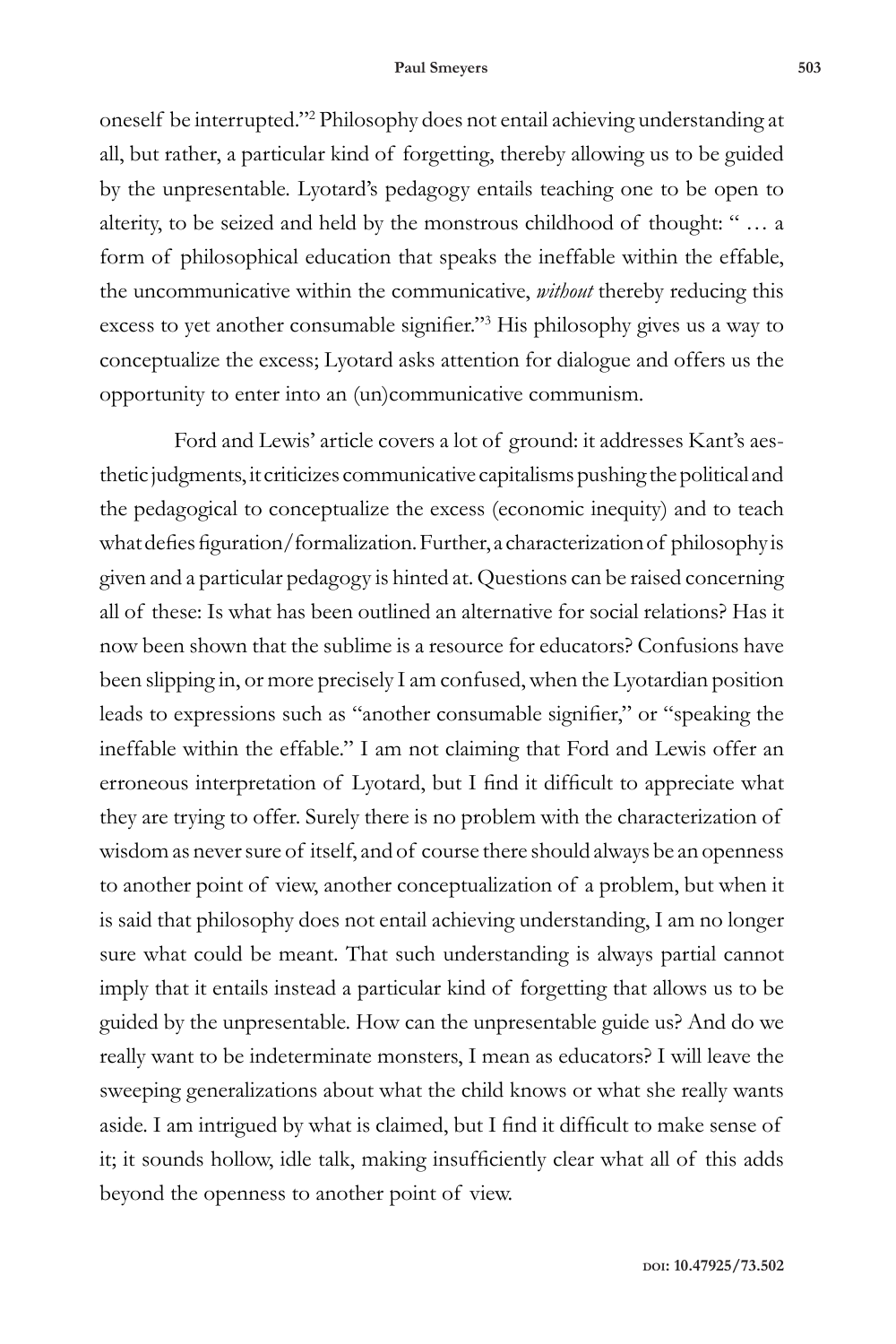## **Paul Smeyers 503**

oneself be interrupted."2 Philosophy does not entail achieving understanding at all, but rather, a particular kind of forgetting, thereby allowing us to be guided by the unpresentable. Lyotard's pedagogy entails teaching one to be open to alterity, to be seized and held by the monstrous childhood of thought: " … a form of philosophical education that speaks the ineffable within the effable, the uncommunicative within the communicative, *without* thereby reducing this excess to yet another consumable signifier."<sup>3</sup> His philosophy gives us a way to conceptualize the excess; Lyotard asks attention for dialogue and offers us the opportunity to enter into an (un)communicative communism.

Ford and Lewis' article covers a lot of ground: it addresses Kant's aesthetic judgments, it criticizes communicative capitalisms pushing the political and the pedagogical to conceptualize the excess (economic inequity) and to teach what defies figuration/formalization. Further, a characterization of philosophy is given and a particular pedagogy is hinted at. Questions can be raised concerning all of these: Is what has been outlined an alternative for social relations? Has it now been shown that the sublime is a resource for educators? Confusions have been slipping in, or more precisely I am confused, when the Lyotardian position leads to expressions such as "another consumable signifier," or "speaking the ineffable within the effable." I am not claiming that Ford and Lewis offer an erroneous interpretation of Lyotard, but I find it difficult to appreciate what they are trying to offer. Surely there is no problem with the characterization of wisdom as never sure of itself, and of course there should always be an openness to another point of view, another conceptualization of a problem, but when it is said that philosophy does not entail achieving understanding, I am no longer sure what could be meant. That such understanding is always partial cannot imply that it entails instead a particular kind of forgetting that allows us to be guided by the unpresentable. How can the unpresentable guide us? And do we really want to be indeterminate monsters, I mean as educators? I will leave the sweeping generalizations about what the child knows or what she really wants aside. I am intrigued by what is claimed, but I find it difficult to make sense of it; it sounds hollow, idle talk, making insufficiently clear what all of this adds beyond the openness to another point of view.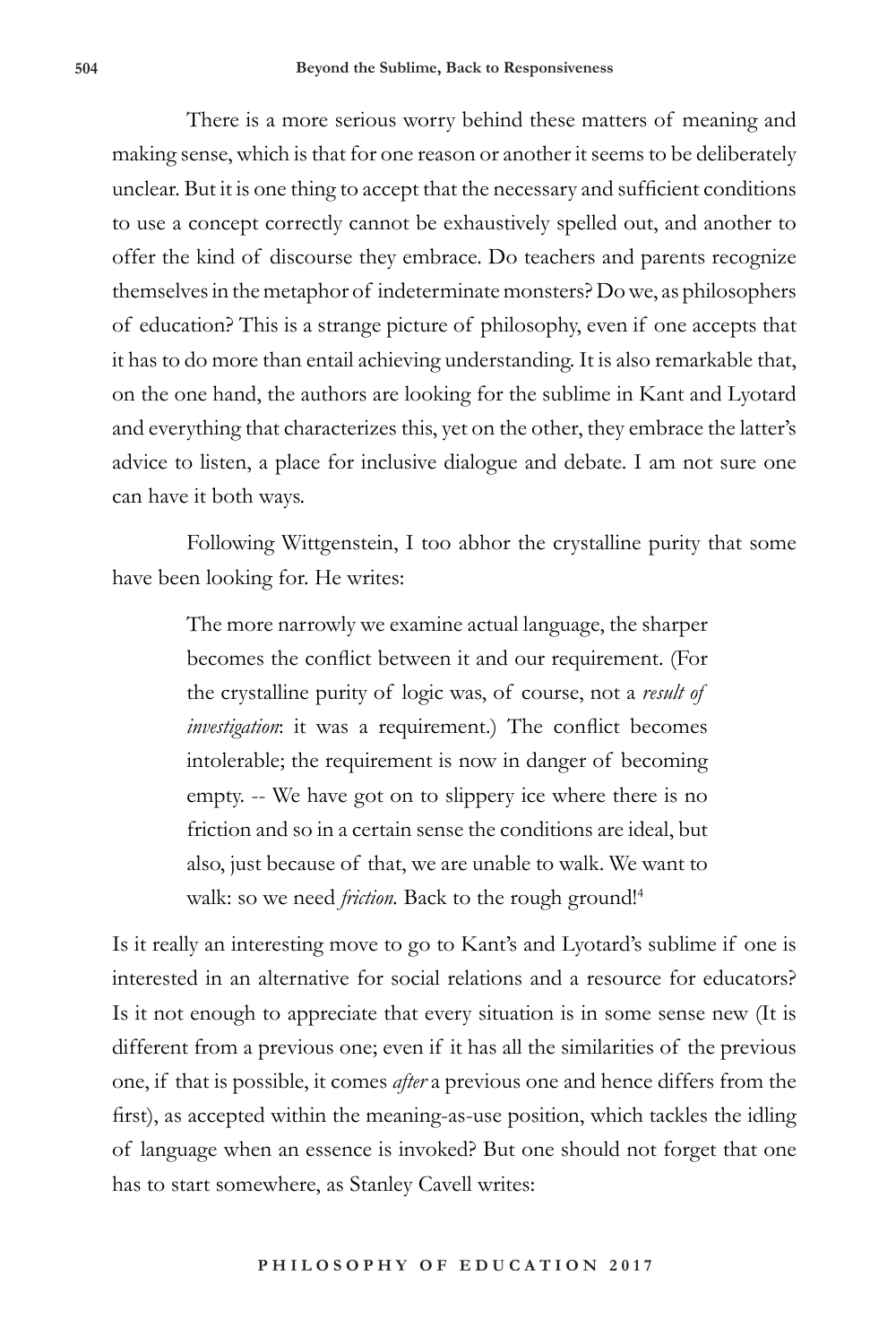There is a more serious worry behind these matters of meaning and making sense, which is that for one reason or another it seems to be deliberately unclear. But it is one thing to accept that the necessary and sufficient conditions to use a concept correctly cannot be exhaustively spelled out, and another to offer the kind of discourse they embrace. Do teachers and parents recognize themselves in the metaphor of indeterminate monsters? Do we, as philosophers of education? This is a strange picture of philosophy, even if one accepts that it has to do more than entail achieving understanding. It is also remarkable that, on the one hand, the authors are looking for the sublime in Kant and Lyotard and everything that characterizes this, yet on the other, they embrace the latter's advice to listen, a place for inclusive dialogue and debate. I am not sure one can have it both ways.

Following Wittgenstein, I too abhor the crystalline purity that some have been looking for. He writes:

> The more narrowly we examine actual language, the sharper becomes the conflict between it and our requirement. (For the crystalline purity of logic was, of course, not a *result of investigation*: it was a requirement.) The conflict becomes intolerable; the requirement is now in danger of becoming empty. -- We have got on to slippery ice where there is no friction and so in a certain sense the conditions are ideal, but also, just because of that, we are unable to walk. We want to walk: so we need *friction*. Back to the rough ground!<sup>4</sup>

Is it really an interesting move to go to Kant's and Lyotard's sublime if one is interested in an alternative for social relations and a resource for educators? Is it not enough to appreciate that every situation is in some sense new (It is different from a previous one; even if it has all the similarities of the previous one, if that is possible, it comes *after* a previous one and hence differs from the first), as accepted within the meaning-as-use position, which tackles the idling of language when an essence is invoked? But one should not forget that one has to start somewhere, as Stanley Cavell writes: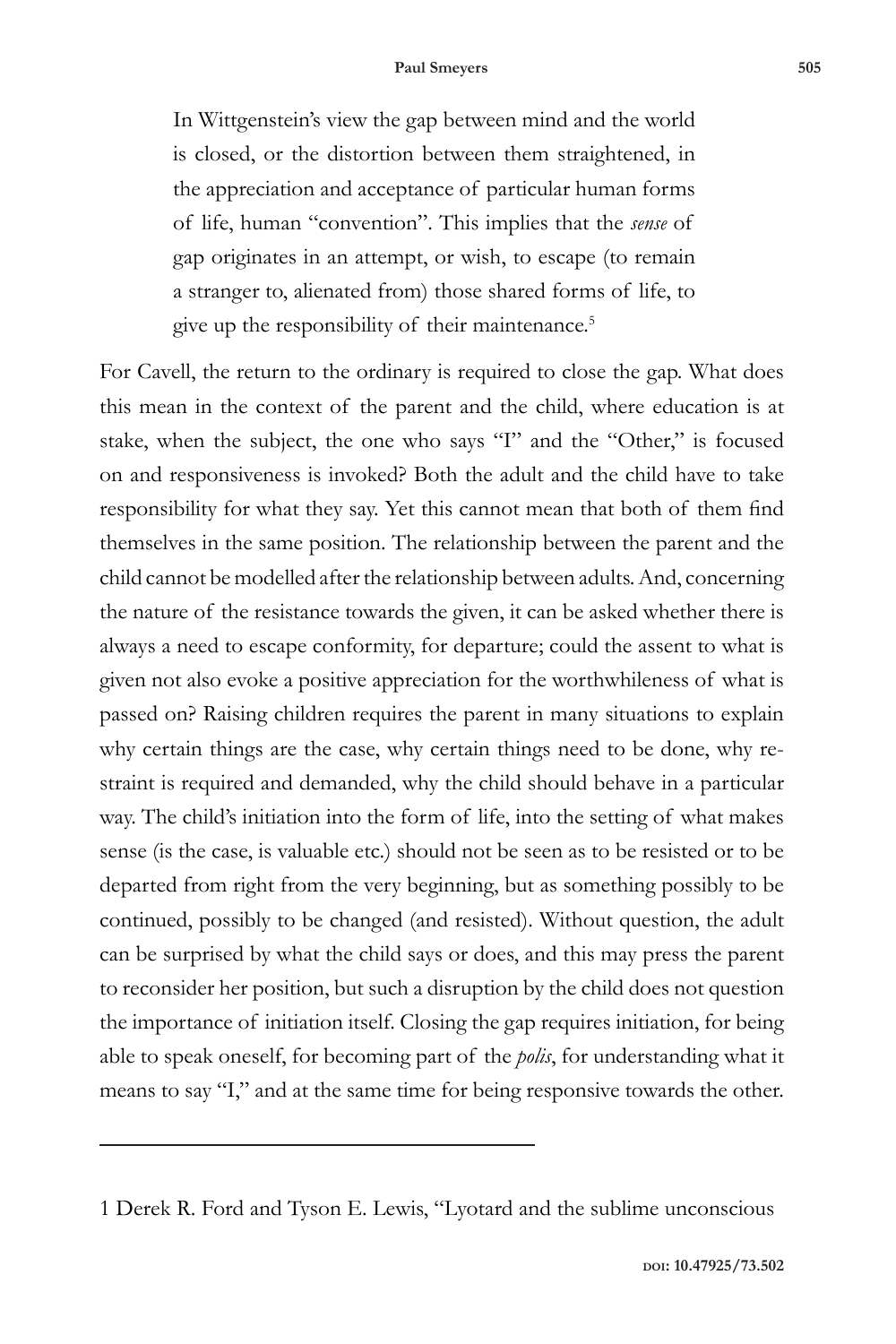In Wittgenstein's view the gap between mind and the world is closed, or the distortion between them straightened, in the appreciation and acceptance of particular human forms of life, human "convention". This implies that the *sense* of gap originates in an attempt, or wish, to escape (to remain a stranger to, alienated from) those shared forms of life, to give up the responsibility of their maintenance.<sup>5</sup>

For Cavell, the return to the ordinary is required to close the gap. What does this mean in the context of the parent and the child, where education is at stake, when the subject, the one who says "I" and the "Other," is focused on and responsiveness is invoked? Both the adult and the child have to take responsibility for what they say. Yet this cannot mean that both of them find themselves in the same position. The relationship between the parent and the child cannot be modelled after the relationship between adults. And, concerning the nature of the resistance towards the given, it can be asked whether there is always a need to escape conformity, for departure; could the assent to what is given not also evoke a positive appreciation for the worthwhileness of what is passed on? Raising children requires the parent in many situations to explain why certain things are the case, why certain things need to be done, why restraint is required and demanded, why the child should behave in a particular way. The child's initiation into the form of life, into the setting of what makes sense (is the case, is valuable etc.) should not be seen as to be resisted or to be departed from right from the very beginning, but as something possibly to be continued, possibly to be changed (and resisted). Without question, the adult can be surprised by what the child says or does, and this may press the parent to reconsider her position, but such a disruption by the child does not question the importance of initiation itself. Closing the gap requires initiation, for being able to speak oneself, for becoming part of the *polis*, for understanding what it means to say "I," and at the same time for being responsive towards the other.

<sup>1</sup> Derek R. Ford and Tyson E. Lewis, "Lyotard and the sublime unconscious